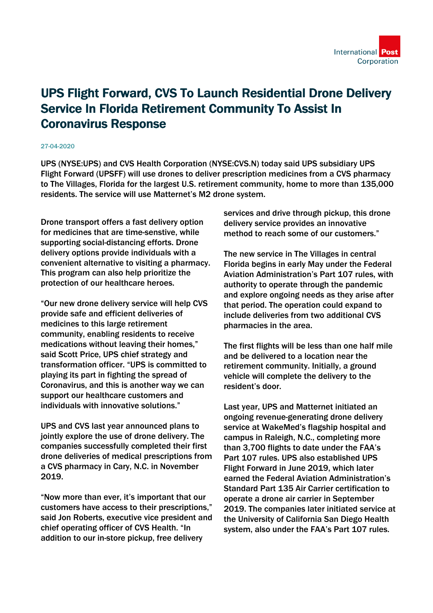

## UPS Flight Forward, CVS To Launch Residential Drone Delivery Service In Florida Retirement Community To Assist In Coronavirus Response

## 27-04-2020

UPS (NYSE:UPS) and CVS Health Corporation (NYSE:CVS.N) today said UPS subsidiary UPS Flight Forward (UPSFF) will use drones to deliver prescription medicines from a CVS pharmacy to The Villages, Florida for the largest U.S. retirement community, home to more than 135,000 residents. The service will use Matternet's M2 drone system.

Drone transport offers a fast delivery option for medicines that are time-senstive, while supporting social-distancing efforts. Drone delivery options provide individuals with a convenient alternative to visiting a pharmacy. This program can also help prioritize the protection of our healthcare heroes.

"Our new drone delivery service will help CVS provide safe and efficient deliveries of medicines to this large retirement community, enabling residents to receive medications without leaving their homes," said Scott Price, UPS chief strategy and transformation officer. "UPS is committed to playing its part in fighting the spread of Coronavirus, and this is another way we can support our healthcare customers and individuals with innovative solutions."

UPS and CVS last year announced plans to jointly explore the use of drone delivery. The companies successfully completed their first drone deliveries of medical prescriptions from a CVS pharmacy in Cary, N.C. in November 2019.

"Now more than ever, it's important that our customers have access to their prescriptions," said Jon Roberts, executive vice president and chief operating officer of CVS Health. "In addition to our in-store pickup, free delivery

services and drive through pickup, this drone delivery service provides an innovative method to reach some of our customers."

The new service in The Villages in central Florida begins in early May under the Federal Aviation Administration's Part 107 rules, with authority to operate through the pandemic and explore ongoing needs as they arise after that period. The operation could expand to include deliveries from two additional CVS pharmacies in the area.

The first flights will be less than one half mile and be delivered to a location near the retirement community. Initially, a ground vehicle will complete the delivery to the resident's door.

Last year, UPS and Matternet initiated an ongoing revenue-generating drone delivery service at WakeMed's flagship hospital and campus in Raleigh, N.C., completing more than 3,700 flights to date under the FAA's Part 107 rules. UPS also established UPS Flight Forward in June 2019, which later earned the Federal Aviation Administration's Standard Part 135 Air Carrier certification to operate a drone air carrier in September 2019. The companies later initiated service at the University of California San Diego Health system, also under the FAA's Part 107 rules.